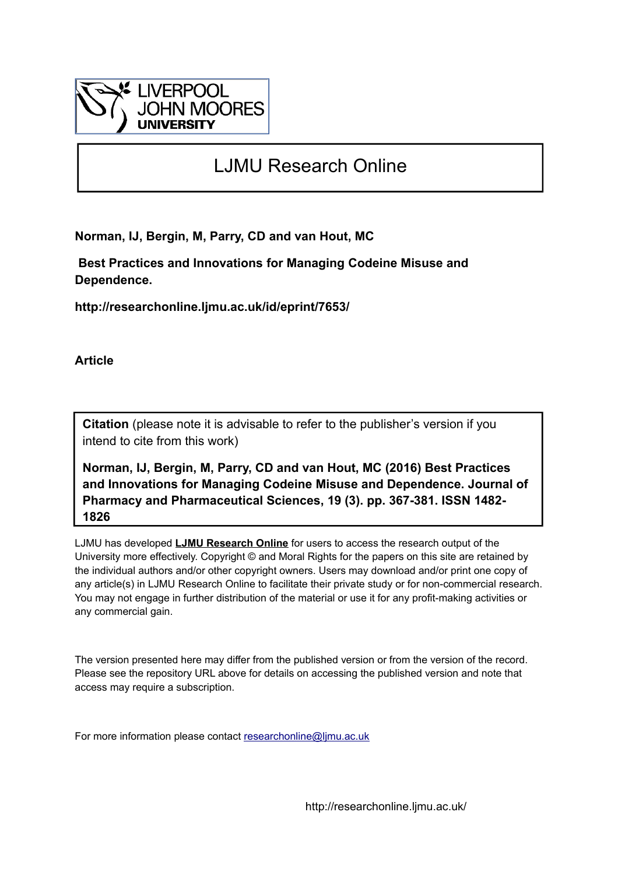

# LJMU Research Online

**Norman, IJ, Bergin, M, Parry, CD and van Hout, MC**

 **Best Practices and Innovations for Managing Codeine Misuse and Dependence.**

**http://researchonline.ljmu.ac.uk/id/eprint/7653/**

**Article**

**Citation** (please note it is advisable to refer to the publisher's version if you intend to cite from this work)

**Norman, IJ, Bergin, M, Parry, CD and van Hout, MC (2016) Best Practices and Innovations for Managing Codeine Misuse and Dependence. Journal of Pharmacy and Pharmaceutical Sciences, 19 (3). pp. 367-381. ISSN 1482- 1826** 

LJMU has developed **[LJMU Research Online](http://researchonline.ljmu.ac.uk/)** for users to access the research output of the University more effectively. Copyright © and Moral Rights for the papers on this site are retained by the individual authors and/or other copyright owners. Users may download and/or print one copy of any article(s) in LJMU Research Online to facilitate their private study or for non-commercial research. You may not engage in further distribution of the material or use it for any profit-making activities or any commercial gain.

The version presented here may differ from the published version or from the version of the record. Please see the repository URL above for details on accessing the published version and note that access may require a subscription.

For more information please contact [researchonline@ljmu.ac.uk](mailto:researchonline@ljmu.ac.uk)

http://researchonline.ljmu.ac.uk/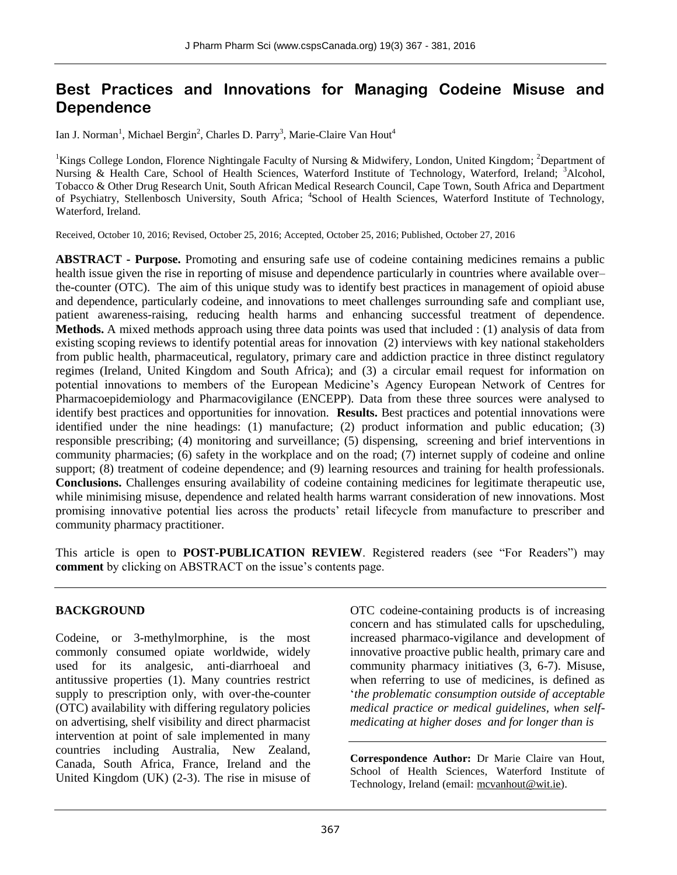# **Best Practices and Innovations for Managing Codeine Misuse and Dependence**

Ian J. Norman<sup>1</sup>, Michael Bergin<sup>2</sup>, Charles D. Parry<sup>3</sup>, Marie-Claire Van Hout<sup>4</sup>

<sup>1</sup>Kings College London, Florence Nightingale Faculty of Nursing & Midwifery, London, United Kingdom; <sup>2</sup>Department of Nursing & Health Care, School of Health Sciences, Waterford Institute of Technology, Waterford, Ireland; <sup>3</sup>Alcohol, Tobacco & Other Drug Research Unit, South African Medical Research Council, Cape Town, South Africa and Department of Psychiatry, Stellenbosch University, South Africa; <sup>4</sup>School of Health Sciences, Waterford Institute of Technology, Waterford, Ireland.

Received, October 10, 2016; Revised, October 25, 2016; Accepted, October 25, 2016; Published, October 27, 2016

**ABSTRACT - Purpose.** Promoting and ensuring safe use of codeine containing medicines remains a public health issue given the rise in reporting of misuse and dependence particularly in countries where available over– the-counter (OTC). The aim of this unique study was to identify best practices in management of opioid abuse and dependence, particularly codeine, and innovations to meet challenges surrounding safe and compliant use, patient awareness-raising, reducing health harms and enhancing successful treatment of dependence. **Methods.** A mixed methods approach using three data points was used that included : (1) analysis of data from existing scoping reviews to identify potential areas for innovation (2) interviews with key national stakeholders from public health, pharmaceutical, regulatory, primary care and addiction practice in three distinct regulatory regimes (Ireland, United Kingdom and South Africa); and (3) a circular email request for information on potential innovations to members of the European Medicine's Agency European Network of Centres for Pharmacoepidemiology and Pharmacovigilance (ENCEPP). Data from these three sources were analysed to identify best practices and opportunities for innovation. **Results.** Best practices and potential innovations were identified under the nine headings: (1) manufacture; (2) product information and public education; (3) responsible prescribing; (4) monitoring and surveillance; (5) dispensing, screening and brief interventions in community pharmacies; (6) safety in the workplace and on the road; (7) internet supply of codeine and online support; (8) treatment of codeine dependence; and (9) learning resources and training for health professionals. **Conclusions.** Challenges ensuring availability of codeine containing medicines for legitimate therapeutic use, while minimising misuse, dependence and related health harms warrant consideration of new innovations. Most promising innovative potential lies across the products' retail lifecycle from manufacture to prescriber and community pharmacy practitioner.

This article is open to **POST-PUBLICATION REVIEW**. Registered readers (see "For Readers") may **comment** by clicking on ABSTRACT on the issue's contents page.

# **BACKGROUND**

Codeine, or 3-methylmorphine, is the most commonly consumed opiate worldwide, widely used for its analgesic, anti-diarrhoeal and antitussive properties (1). Many countries restrict supply to prescription only, with over-the-counter (OTC) availability with differing regulatory policies on advertising, shelf visibility and direct pharmacist intervention at point of sale implemented in many countries including Australia, New Zealand, Canada, South Africa, France, Ireland and the United Kingdom (UK) (2-3). The rise in misuse of OTC codeine-containing products is of increasing concern and has stimulated calls for upscheduling, increased pharmaco-vigilance and development of innovative proactive public health, primary care and community pharmacy initiatives (3, 6-7). Misuse, when referring to use of medicines, is defined as '*the problematic consumption outside of acceptable medical practice or medical guidelines, when selfmedicating at higher doses and for longer than is*

**Correspondence Author:** Dr Marie Claire van Hout, School of Health Sciences, Waterford Institute of Technology, Ireland (email: [mcvanhout@wit.ie\)](mailto:mcvanhout@wit.ie).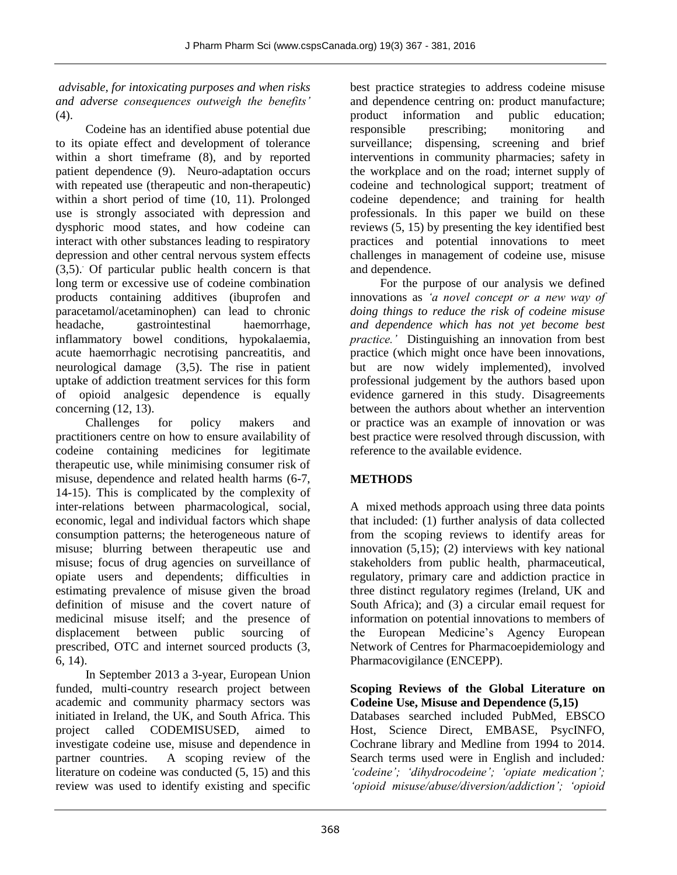*advisable, for intoxicating purposes and when risks and adverse consequences outweigh the benefits'* (4).

Codeine has an identified abuse potential due to its opiate effect and development of tolerance within a short timeframe (8), and by reported patient dependence (9). Neuro-adaptation occurs with repeated use (therapeutic and non-therapeutic) within a short period of time (10, 11). Prolonged use is strongly associated with depression and dysphoric mood states, and how codeine can interact with other substances leading to respiratory depression and other central nervous system effects  $(3,5)$ . Of particular public health concern is that long term or excessive use of codeine combination products containing additives (ibuprofen and paracetamol/acetaminophen) can lead to chronic headache, gastrointestinal haemorrhage, inflammatory bowel conditions, hypokalaemia, acute haemorrhagic necrotising pancreatitis, and neurological damage (3,5). The rise in patient uptake of addiction treatment services for this form of opioid analgesic dependence is equally concerning (12, 13).

Challenges for policy makers and practitioners centre on how to ensure availability of codeine containing medicines for legitimate therapeutic use, while minimising consumer risk of misuse, dependence and related health harms (6-7, 14-15). This is complicated by the complexity of inter-relations between pharmacological, social, economic, legal and individual factors which shape consumption patterns; the heterogeneous nature of misuse; blurring between therapeutic use and misuse; focus of drug agencies on surveillance of opiate users and dependents; difficulties in estimating prevalence of misuse given the broad definition of misuse and the covert nature of medicinal misuse itself; and the presence of displacement between public sourcing of prescribed, OTC and internet sourced products (3, 6, 14).

In September 2013 a 3-year, European Union funded, multi-country research project between academic and community pharmacy sectors was initiated in Ireland, the UK, and South Africa. This project called CODEMISUSED, aimed to investigate codeine use, misuse and dependence in partner countries. A scoping review of the literature on codeine was conducted (5, 15) and this review was used to identify existing and specific

best practice strategies to address codeine misuse and dependence centring on: product manufacture; product information and public education; responsible prescribing; monitoring and surveillance; dispensing, screening and brief interventions in community pharmacies; safety in the workplace and on the road; internet supply of codeine and technological support; treatment of codeine dependence; and training for health professionals. In this paper we build on these reviews (5, 15) by presenting the key identified best practices and potential innovations to meet challenges in management of codeine use, misuse and dependence.

For the purpose of our analysis we defined innovations as *'a novel concept or a new way of doing things to reduce the risk of codeine misuse and dependence which has not yet become best practice.'* Distinguishing an innovation from best practice (which might once have been innovations, but are now widely implemented), involved professional judgement by the authors based upon evidence garnered in this study. Disagreements between the authors about whether an intervention or practice was an example of innovation or was best practice were resolved through discussion, with reference to the available evidence.

# **METHODS**

A mixed methods approach using three data points that included: (1) further analysis of data collected from the scoping reviews to identify areas for innovation (5,15); (2) interviews with key national stakeholders from public health, pharmaceutical, regulatory, primary care and addiction practice in three distinct regulatory regimes (Ireland, UK and South Africa); and (3) a circular email request for information on potential innovations to members of the European Medicine's Agency European Network of Centres for Pharmacoepidemiology and Pharmacovigilance (ENCEPP).

#### **Scoping Reviews of the Global Literature on Codeine Use, Misuse and Dependence (5,15)**

Databases searched included PubMed, EBSCO Host, Science Direct, EMBASE, PsycINFO, Cochrane library and Medline from 1994 to 2014. Search terms used were in English and included*: 'codeine'; 'dihydrocodeine'; 'opiate medication'; 'opioid misuse/abuse/diversion/addiction'; 'opioid*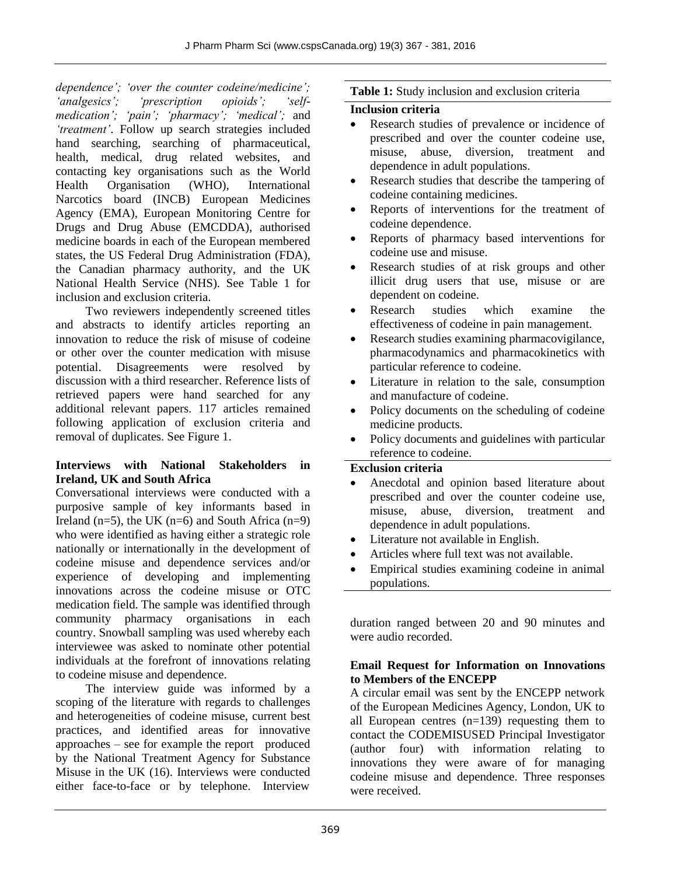*dependence'; 'over the counter codeine/medicine'; 'analgesics'; 'prescription opioids'; 'selfmedication'; 'pain'; 'pharmacy'; 'medical';* and *'treatment'*. Follow up search strategies included hand searching, searching of pharmaceutical, health, medical, drug related websites, and contacting key organisations such as the World Health Organisation (WHO), International Narcotics board (INCB) European Medicines Agency (EMA), European Monitoring Centre for Drugs and Drug Abuse (EMCDDA), authorised medicine boards in each of the European membered states, the US Federal Drug Administration (FDA), the Canadian pharmacy authority, and the UK National Health Service (NHS). See Table 1 for inclusion and exclusion criteria.

Two reviewers independently screened titles and abstracts to identify articles reporting an innovation to reduce the risk of misuse of codeine or other over the counter medication with misuse potential. Disagreements were resolved by discussion with a third researcher. Reference lists of retrieved papers were hand searched for any additional relevant papers. 117 articles remained following application of exclusion criteria and removal of duplicates. See Figure 1.

#### **Interviews with National Stakeholders in Ireland, UK and South Africa**

Conversational interviews were conducted with a purposive sample of key informants based in Ireland (n=5), the UK (n=6) and South Africa (n=9) who were identified as having either a strategic role nationally or internationally in the development of codeine misuse and dependence services and/or experience of developing and implementing innovations across the codeine misuse or OTC medication field. The sample was identified through community pharmacy organisations in each country. Snowball sampling was used whereby each interviewee was asked to nominate other potential individuals at the forefront of innovations relating to codeine misuse and dependence.

The interview guide was informed by a scoping of the literature with regards to challenges and heterogeneities of codeine misuse, current best practices, and identified areas for innovative approaches – see for example the report produced by the National Treatment Agency for Substance Misuse in the UK (16). Interviews were conducted either face-to-face or by telephone. Interview

#### **Table 1:** Study inclusion and exclusion criteria

#### **Inclusion criteria**

- Research studies of prevalence or incidence of prescribed and over the counter codeine use, misuse, abuse, diversion, treatment and dependence in adult populations.
- Research studies that describe the tampering of codeine containing medicines.
- Reports of interventions for the treatment of codeine dependence.
- Reports of pharmacy based interventions for codeine use and misuse.
- Research studies of at risk groups and other illicit drug users that use, misuse or are dependent on codeine.
- Research studies which examine the effectiveness of codeine in pain management.
- Research studies examining pharmacovigilance, pharmacodynamics and pharmacokinetics with particular reference to codeine.
- Literature in relation to the sale, consumption and manufacture of codeine.
- Policy documents on the scheduling of codeine medicine products.
- Policy documents and guidelines with particular reference to codeine.

#### **Exclusion criteria**

- Anecdotal and opinion based literature about prescribed and over the counter codeine use, misuse, abuse, diversion, treatment and dependence in adult populations.
- Literature not available in English.
- Articles where full text was not available.
- Empirical studies examining codeine in animal populations.

duration ranged between 20 and 90 minutes and were audio recorded.

#### **Email Request for Information on Innovations to Members of the ENCEPP**

A circular email was sent by the ENCEPP network of the European Medicines Agency, London, UK to all European centres (n=139) requesting them to contact the CODEMISUSED Principal Investigator (author four) with information relating to innovations they were aware of for managing codeine misuse and dependence. Three responses were received.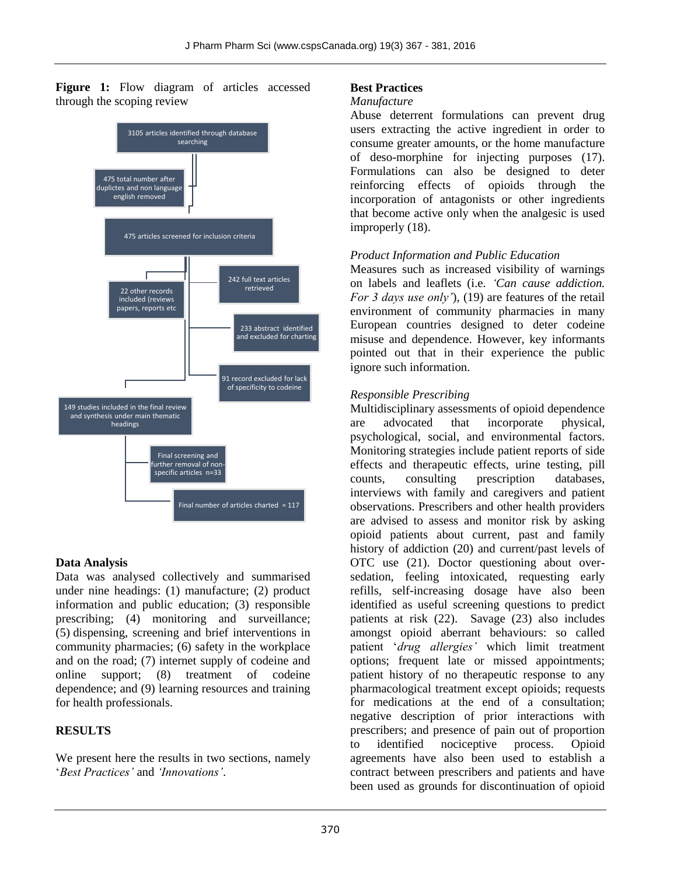Figure 1: Flow diagram of articles accessed through the scoping review



#### **Data Analysis**

Data was analysed collectively and summarised under nine headings: (1) manufacture; (2) product information and public education; (3) responsible prescribing; (4) monitoring and surveillance; (5) dispensing, screening and brief interventions in community pharmacies; (6) safety in the workplace and on the road; (7) internet supply of codeine and online support; (8) treatment of codeine dependence; and (9) learning resources and training for health professionals.

#### **RESULTS**

We present here the results in two sections, namely '*Best Practices'* and *'Innovations'*.

#### **Best Practices**

#### *Manufacture*

Abuse deterrent formulations can prevent drug users extracting the active ingredient in order to consume greater amounts, or the home manufacture of deso-morphine for injecting purposes (17). Formulations can also be designed to deter reinforcing effects of opioids through the incorporation of antagonists or other ingredients that become active only when the analgesic is used improperly (18).

#### *Product Information and Public Education*

Measures such as increased visibility of warnings on labels and leaflets (i.e. *'Can cause addiction. For 3 days use only'*), (19) are features of the retail environment of community pharmacies in many European countries designed to deter codeine misuse and dependence. However, key informants pointed out that in their experience the public ignore such information.

#### *Responsible Prescribing*

Multidisciplinary assessments of opioid dependence are advocated that incorporate physical, psychological, social, and environmental factors. Monitoring strategies include patient reports of side effects and therapeutic effects, urine testing, pill counts, consulting prescription databases, interviews with family and caregivers and patient observations. Prescribers and other health providers are advised to assess and monitor risk by asking opioid patients about current, past and family history of addiction (20) and current/past levels of OTC use (21). Doctor questioning about oversedation, feeling intoxicated, requesting early refills, self-increasing dosage have also been identified as useful screening questions to predict patients at risk (22). Savage (23) also includes amongst opioid aberrant behaviours: so called patient '*drug allergies'* which limit treatment options; frequent late or missed appointments; patient history of no therapeutic response to any pharmacological treatment except opioids; requests for medications at the end of a consultation; negative description of prior interactions with prescribers; and presence of pain out of proportion to identified nociceptive process. Opioid agreements have also been used to establish a contract between prescribers and patients and have been used as grounds for discontinuation of opioid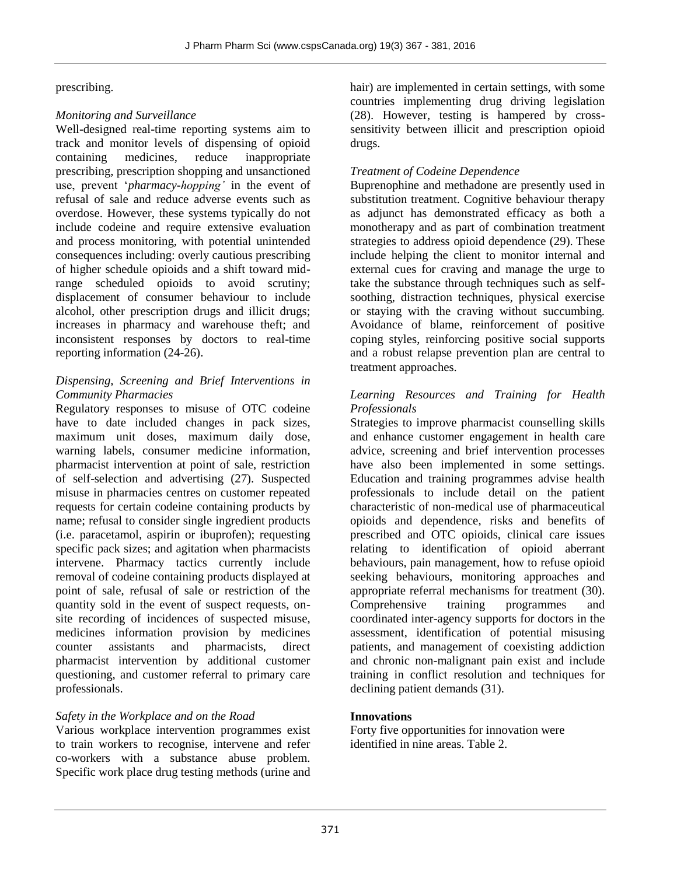#### prescribing.

#### *Monitoring and Surveillance*

Well-designed real-time reporting systems aim to track and monitor levels of dispensing of opioid containing medicines, reduce inappropriate prescribing, prescription shopping and unsanctioned use, prevent '*pharmacy-hopping'* in the event of refusal of sale and reduce adverse events such as overdose. However, these systems typically do not include codeine and require extensive evaluation and process monitoring, with potential unintended consequences including: overly cautious prescribing of higher schedule opioids and a shift toward midrange scheduled opioids to avoid scrutiny; displacement of consumer behaviour to include alcohol, other prescription drugs and illicit drugs; increases in pharmacy and warehouse theft; and inconsistent responses by doctors to real-time reporting information (24-26).

#### *Dispensing, Screening and Brief Interventions in Community Pharmacies*

Regulatory responses to misuse of OTC codeine have to date included changes in pack sizes, maximum unit doses, maximum daily dose, warning labels, consumer medicine information, pharmacist intervention at point of sale, restriction of self-selection and advertising (27). Suspected misuse in pharmacies centres on customer repeated requests for certain codeine containing products by name; refusal to consider single ingredient products (i.e. paracetamol, aspirin or ibuprofen); requesting specific pack sizes; and agitation when pharmacists intervene. Pharmacy tactics currently include removal of codeine containing products displayed at point of sale, refusal of sale or restriction of the quantity sold in the event of suspect requests, onsite recording of incidences of suspected misuse, medicines information provision by medicines counter assistants and pharmacists, direct pharmacist intervention by additional customer questioning, and customer referral to primary care professionals.

#### *Safety in the Workplace and on the Road*

Various workplace intervention programmes exist to train workers to recognise, intervene and refer co-workers with a substance abuse problem. Specific work place drug testing methods (urine and hair) are implemented in certain settings, with some countries implementing drug driving legislation (28). However, testing is hampered by crosssensitivity between illicit and prescription opioid drugs.

#### *Treatment of Codeine Dependence*

Buprenophine and methadone are presently used in substitution treatment. Cognitive behaviour therapy as adjunct has demonstrated efficacy as both a monotherapy and as part of combination treatment strategies to address opioid dependence (29). These include helping the client to monitor internal and external cues for craving and manage the urge to take the substance through techniques such as selfsoothing, distraction techniques, physical exercise or staying with the craving without succumbing. Avoidance of blame, reinforcement of positive coping styles, reinforcing positive social supports and a robust relapse prevention plan are central to treatment approaches.

#### *Learning Resources and Training for Health Professionals*

Strategies to improve pharmacist counselling skills and enhance customer engagement in health care advice, screening and brief intervention processes have also been implemented in some settings. Education and training programmes advise health professionals to include detail on the patient characteristic of non-medical use of pharmaceutical opioids and dependence, risks and benefits of prescribed and OTC opioids, clinical care issues relating to identification of opioid aberrant behaviours, pain management, how to refuse opioid seeking behaviours, monitoring approaches and appropriate referral mechanisms for treatment (30). Comprehensive training programmes and coordinated inter-agency supports for doctors in the assessment, identification of potential misusing patients, and management of coexisting addiction and chronic non-malignant pain exist and include training in conflict resolution and techniques for declining patient demands (31).

#### **Innovations**

Forty five opportunities for innovation were identified in nine areas. Table 2.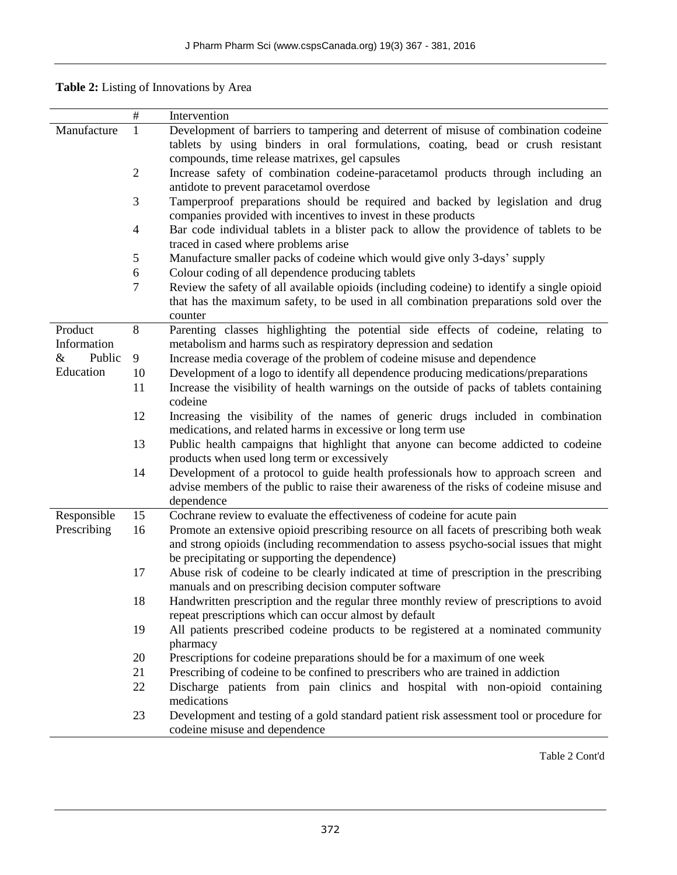| Table 2: Listing of Innovations by Area |  |  |  |  |
|-----------------------------------------|--|--|--|--|
|-----------------------------------------|--|--|--|--|

|                            | $\#$           | Intervention                                                                               |
|----------------------------|----------------|--------------------------------------------------------------------------------------------|
| Manufacture                | $\mathbf{1}$   | Development of barriers to tampering and deterrent of misuse of combination codeine        |
|                            |                | tablets by using binders in oral formulations, coating, bead or crush resistant            |
|                            |                | compounds, time release matrixes, gel capsules                                             |
|                            | $\overline{2}$ | Increase safety of combination codeine-paracetamol products through including an           |
|                            |                | antidote to prevent paracetamol overdose                                                   |
|                            | 3              | Tamperproof preparations should be required and backed by legislation and drug             |
|                            |                | companies provided with incentives to invest in these products                             |
|                            | $\overline{4}$ | Bar code individual tablets in a blister pack to allow the providence of tablets to be     |
|                            |                | traced in cased where problems arise                                                       |
|                            | $\mathfrak{S}$ | Manufacture smaller packs of codeine which would give only 3-days' supply                  |
|                            | 6              | Colour coding of all dependence producing tablets                                          |
|                            | $\tau$         | Review the safety of all available opioids (including codeine) to identify a single opioid |
|                            |                | that has the maximum safety, to be used in all combination preparations sold over the      |
|                            |                | counter                                                                                    |
| Product                    | 8              | Parenting classes highlighting the potential side effects of codeine, relating to          |
| Information                |                | metabolism and harms such as respiratory depression and sedation                           |
| $\&$<br>Public             | 9              | Increase media coverage of the problem of codeine misuse and dependence                    |
| Education                  | 10             | Development of a logo to identify all dependence producing medications/preparations        |
|                            | 11             | Increase the visibility of health warnings on the outside of packs of tablets containing   |
|                            |                | codeine                                                                                    |
|                            | 12             | Increasing the visibility of the names of generic drugs included in combination            |
|                            |                | medications, and related harms in excessive or long term use                               |
|                            | 13             | Public health campaigns that highlight that anyone can become addicted to codeine          |
|                            |                | products when used long term or excessively                                                |
|                            | 14             | Development of a protocol to guide health professionals how to approach screen and         |
|                            |                | advise members of the public to raise their awareness of the risks of codeine misuse and   |
|                            | 15             | dependence<br>Cochrane review to evaluate the effectiveness of codeine for acute pain      |
| Responsible<br>Prescribing | 16             | Promote an extensive opioid prescribing resource on all facets of prescribing both weak    |
|                            |                | and strong opioids (including recommendation to assess psycho-social issues that might     |
|                            |                | be precipitating or supporting the dependence)                                             |
|                            | 17             | Abuse risk of codeine to be clearly indicated at time of prescription in the prescribing   |
|                            |                | manuals and on prescribing decision computer software                                      |
|                            | 18             | Handwritten prescription and the regular three monthly review of prescriptions to avoid    |
|                            |                | repeat prescriptions which can occur almost by default                                     |
|                            | 19             | All patients prescribed codeine products to be registered at a nominated community         |
|                            |                | pharmacy                                                                                   |
|                            | 20             | Prescriptions for codeine preparations should be for a maximum of one week                 |
|                            | 21             | Prescribing of codeine to be confined to prescribers who are trained in addiction          |
|                            | 22             | Discharge patients from pain clinics and hospital with non-opioid containing               |
|                            |                | medications                                                                                |
|                            | 23             | Development and testing of a gold standard patient risk assessment tool or procedure for   |
|                            |                | codeine misuse and dependence                                                              |

Table 2 Cont'd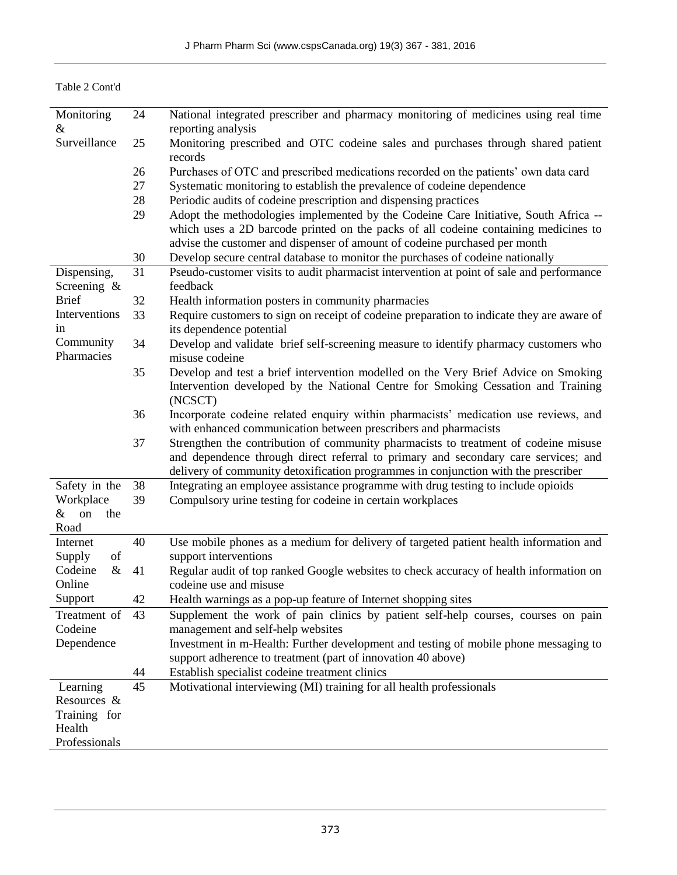Table 2 Cont'd

| Monitoring          | 24              | National integrated prescriber and pharmacy monitoring of medicines using real time                                                                                        |
|---------------------|-----------------|----------------------------------------------------------------------------------------------------------------------------------------------------------------------------|
| &                   |                 | reporting analysis                                                                                                                                                         |
| Surveillance        | 25              | Monitoring prescribed and OTC codeine sales and purchases through shared patient<br>records                                                                                |
|                     | 26              | Purchases of OTC and prescribed medications recorded on the patients' own data card                                                                                        |
|                     | 27              | Systematic monitoring to establish the prevalence of codeine dependence                                                                                                    |
|                     | 28              | Periodic audits of codeine prescription and dispensing practices                                                                                                           |
|                     |                 |                                                                                                                                                                            |
|                     | 29              | Adopt the methodologies implemented by the Codeine Care Initiative, South Africa --<br>which uses a 2D barcode printed on the packs of all codeine containing medicines to |
|                     |                 | advise the customer and dispenser of amount of codeine purchased per month                                                                                                 |
|                     | 30              | Develop secure central database to monitor the purchases of codeine nationally                                                                                             |
| Dispensing,         | $\overline{31}$ | Pseudo-customer visits to audit pharmacist intervention at point of sale and performance                                                                                   |
| Screening $\&$      |                 | feedback                                                                                                                                                                   |
| <b>Brief</b>        | 32              | Health information posters in community pharmacies                                                                                                                         |
| Interventions<br>in | 33              | Require customers to sign on receipt of codeine preparation to indicate they are aware of<br>its dependence potential                                                      |
| Community           | 34              | Develop and validate brief self-screening measure to identify pharmacy customers who                                                                                       |
| Pharmacies          |                 | misuse codeine                                                                                                                                                             |
|                     | 35              | Develop and test a brief intervention modelled on the Very Brief Advice on Smoking                                                                                         |
|                     |                 |                                                                                                                                                                            |
|                     |                 | Intervention developed by the National Centre for Smoking Cessation and Training<br>(NCSCT)                                                                                |
|                     | 36              | Incorporate codeine related enquiry within pharmacists' medication use reviews, and                                                                                        |
|                     |                 | with enhanced communication between prescribers and pharmacists                                                                                                            |
|                     | 37              | Strengthen the contribution of community pharmacists to treatment of codeine misuse                                                                                        |
|                     |                 | and dependence through direct referral to primary and secondary care services; and                                                                                         |
|                     |                 | delivery of community detoxification programmes in conjunction with the prescriber                                                                                         |
| Safety in the       | 38              | Integrating an employee assistance programme with drug testing to include opioids                                                                                          |
|                     |                 |                                                                                                                                                                            |
| Workplace           | 39              | Compulsory urine testing for codeine in certain workplaces                                                                                                                 |
| the<br>on<br>&      |                 |                                                                                                                                                                            |
| Road                |                 |                                                                                                                                                                            |
| Internet            | 40              | Use mobile phones as a medium for delivery of targeted patient health information and                                                                                      |
| of<br>Supply        |                 | support interventions                                                                                                                                                      |
| $\&$<br>Codeine     | 41              | Regular audit of top ranked Google websites to check accuracy of health information on                                                                                     |
| Online              |                 | codeine use and misuse                                                                                                                                                     |
| Support             | 42              | Health warnings as a pop-up feature of Internet shopping sites                                                                                                             |
| Treatment of        | 43              | Supplement the work of pain clinics by patient self-help courses, courses on pain                                                                                          |
| Codeine             |                 | management and self-help websites                                                                                                                                          |
| Dependence          |                 | Investment in m-Health: Further development and testing of mobile phone messaging to                                                                                       |
|                     |                 | support adherence to treatment (part of innovation 40 above)                                                                                                               |
|                     | 44              | Establish specialist codeine treatment clinics                                                                                                                             |
|                     |                 |                                                                                                                                                                            |
| Learning            | 45              | Motivational interviewing (MI) training for all health professionals                                                                                                       |
| Resources &         |                 |                                                                                                                                                                            |
| Training for        |                 |                                                                                                                                                                            |
| Health              |                 |                                                                                                                                                                            |
| Professionals       |                 |                                                                                                                                                                            |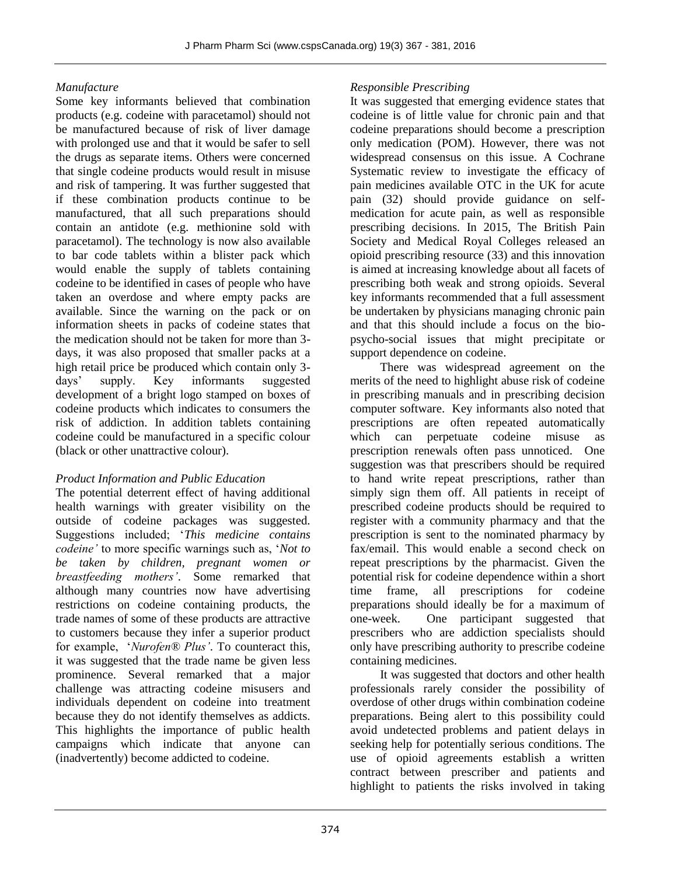#### *Manufacture*

Some key informants believed that combination products (e.g. codeine with paracetamol) should not be manufactured because of risk of liver damage with prolonged use and that it would be safer to sell the drugs as separate items. Others were concerned that single codeine products would result in misuse and risk of tampering. It was further suggested that if these combination products continue to be manufactured, that all such preparations should contain an antidote (e.g. methionine sold with paracetamol). The technology is now also available to bar code tablets within a blister pack which would enable the supply of tablets containing codeine to be identified in cases of people who have taken an overdose and where empty packs are available. Since the warning on the pack or on information sheets in packs of codeine states that the medication should not be taken for more than 3 days, it was also proposed that smaller packs at a high retail price be produced which contain only 3 days' supply. Key informants suggested development of a bright logo stamped on boxes of codeine products which indicates to consumers the risk of addiction. In addition tablets containing codeine could be manufactured in a specific colour (black or other unattractive colour).

#### *Product Information and Public Education*

The potential deterrent effect of having additional health warnings with greater visibility on the outside of codeine packages was suggested. Suggestions included; '*This medicine contains codeine'* to more specific warnings such as, '*Not to be taken by children, pregnant women or breastfeeding mothers'*. Some remarked that although many countries now have advertising restrictions on codeine containing products, the trade names of some of these products are attractive to customers because they infer a superior product for example, '*Nurofen® Plus'*. To counteract this, it was suggested that the trade name be given less prominence. Several remarked that a major challenge was attracting codeine misusers and individuals dependent on codeine into treatment because they do not identify themselves as addicts. This highlights the importance of public health campaigns which indicate that anyone can (inadvertently) become addicted to codeine.

#### *Responsible Prescribing*

It was suggested that emerging evidence states that codeine is of little value for chronic pain and that codeine preparations should become a prescription only medication (POM). However, there was not widespread consensus on this issue. A Cochrane Systematic review to investigate the efficacy of pain medicines available OTC in the UK for acute pain (32) should provide guidance on selfmedication for acute pain, as well as responsible prescribing decisions. In 2015, The British Pain Society and Medical Royal Colleges released an opioid prescribing resource (33) and this innovation is aimed at increasing knowledge about all facets of prescribing both weak and strong opioids. Several key informants recommended that a full assessment be undertaken by physicians managing chronic pain and that this should include a focus on the biopsycho-social issues that might precipitate or support dependence on codeine.

There was widespread agreement on the merits of the need to highlight abuse risk of codeine in prescribing manuals and in prescribing decision computer software. Key informants also noted that prescriptions are often repeated automatically which can perpetuate codeine misuse as prescription renewals often pass unnoticed. One suggestion was that prescribers should be required to hand write repeat prescriptions, rather than simply sign them off. All patients in receipt of prescribed codeine products should be required to register with a community pharmacy and that the prescription is sent to the nominated pharmacy by fax/email. This would enable a second check on repeat prescriptions by the pharmacist. Given the potential risk for codeine dependence within a short time frame, all prescriptions for codeine preparations should ideally be for a maximum of one-week. One participant suggested that prescribers who are addiction specialists should only have prescribing authority to prescribe codeine containing medicines.

It was suggested that doctors and other health professionals rarely consider the possibility of overdose of other drugs within combination codeine preparations. Being alert to this possibility could avoid undetected problems and patient delays in seeking help for potentially serious conditions. The use of opioid agreements establish a written contract between prescriber and patients and highlight to patients the risks involved in taking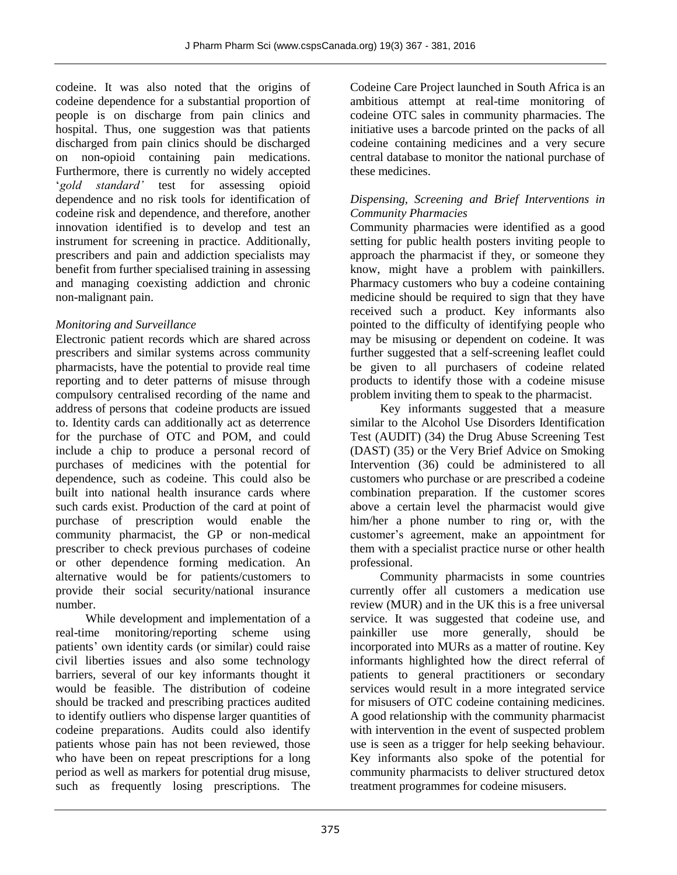codeine. It was also noted that the origins of codeine dependence for a substantial proportion of people is on discharge from pain clinics and hospital. Thus, one suggestion was that patients discharged from pain clinics should be discharged on non-opioid containing pain medications. Furthermore, there is currently no widely accepted '*gold standard'* test for assessing opioid dependence and no risk tools for identification of codeine risk and dependence, and therefore, another innovation identified is to develop and test an instrument for screening in practice. Additionally, prescribers and pain and addiction specialists may benefit from further specialised training in assessing and managing coexisting addiction and chronic non-malignant pain.

# *Monitoring and Surveillance*

Electronic patient records which are shared across prescribers and similar systems across community pharmacists, have the potential to provide real time reporting and to deter patterns of misuse through compulsory centralised recording of the name and address of persons that codeine products are issued to. Identity cards can additionally act as deterrence for the purchase of OTC and POM, and could include a chip to produce a personal record of purchases of medicines with the potential for dependence, such as codeine. This could also be built into national health insurance cards where such cards exist. Production of the card at point of purchase of prescription would enable the community pharmacist, the GP or non-medical prescriber to check previous purchases of codeine or other dependence forming medication. An alternative would be for patients/customers to provide their social security/national insurance number.

While development and implementation of a real-time monitoring/reporting scheme using patients' own identity cards (or similar) could raise civil liberties issues and also some technology barriers, several of our key informants thought it would be feasible. The distribution of codeine should be tracked and prescribing practices audited to identify outliers who dispense larger quantities of codeine preparations. Audits could also identify patients whose pain has not been reviewed, those who have been on repeat prescriptions for a long period as well as markers for potential drug misuse, such as frequently losing prescriptions. The

Codeine Care Project launched in South Africa is an ambitious attempt at real-time monitoring of codeine OTC sales in community pharmacies. The initiative uses a barcode printed on the packs of all codeine containing medicines and a very secure central database to monitor the national purchase of these medicines.

#### *Dispensing, Screening and Brief Interventions in Community Pharmacies*

Community pharmacies were identified as a good setting for public health posters inviting people to approach the pharmacist if they, or someone they know, might have a problem with painkillers. Pharmacy customers who buy a codeine containing medicine should be required to sign that they have received such a product. Key informants also pointed to the difficulty of identifying people who may be misusing or dependent on codeine. It was further suggested that a self-screening leaflet could be given to all purchasers of codeine related products to identify those with a codeine misuse problem inviting them to speak to the pharmacist.

Key informants suggested that a measure similar to the Alcohol Use Disorders Identification Test (AUDIT) (34) the Drug Abuse Screening Test (DAST) (35) or the Very Brief Advice on Smoking Intervention (36) could be administered to all customers who purchase or are prescribed a codeine combination preparation. If the customer scores above a certain level the pharmacist would give him/her a phone number to ring or, with the customer's agreement, make an appointment for them with a specialist practice nurse or other health professional.

Community pharmacists in some countries currently offer all customers a medication use review (MUR) and in the UK this is a free universal service. It was suggested that codeine use, and painkiller use more generally, should be incorporated into MURs as a matter of routine. Key informants highlighted how the direct referral of patients to general practitioners or secondary services would result in a more integrated service for misusers of OTC codeine containing medicines. A good relationship with the community pharmacist with intervention in the event of suspected problem use is seen as a trigger for help seeking behaviour. Key informants also spoke of the potential for community pharmacists to deliver structured detox treatment programmes for codeine misusers.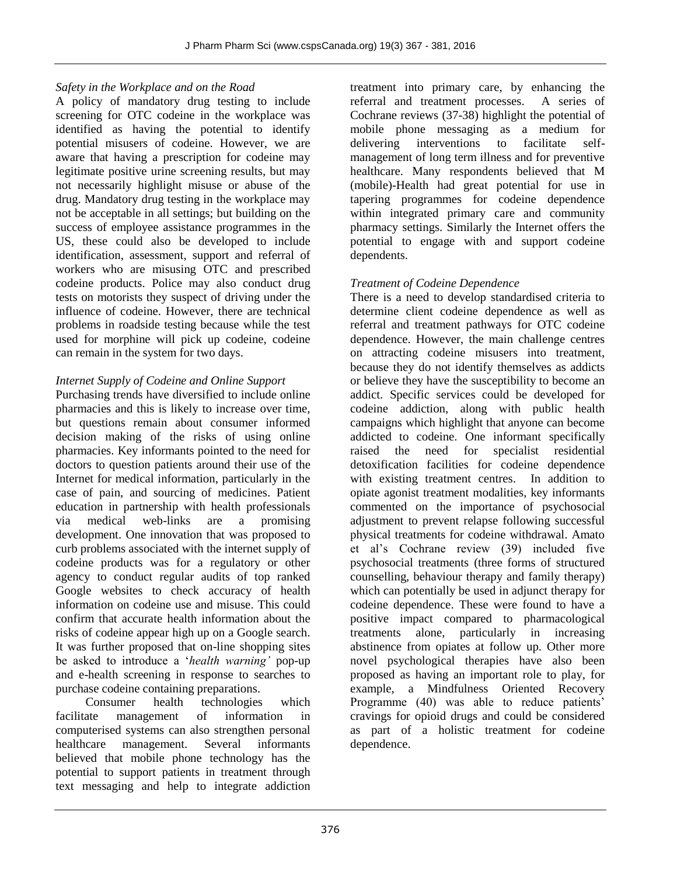# *Safety in the Workplace and on the Road*

A policy of mandatory drug testing to include screening for OTC codeine in the workplace was identified as having the potential to identify potential misusers of codeine. However, we are aware that having a prescription for codeine may legitimate positive urine screening results, but may not necessarily highlight misuse or abuse of the drug. Mandatory drug testing in the workplace may not be acceptable in all settings; but building on the success of employee assistance programmes in the US, these could also be developed to include identification, assessment, support and referral of workers who are misusing OTC and prescribed codeine products. Police may also conduct drug tests on motorists they suspect of driving under the influence of codeine. However, there are technical problems in roadside testing because while the test used for morphine will pick up codeine, codeine can remain in the system for two days.

# *Internet Supply of Codeine and Online Support*

Purchasing trends have diversified to include online pharmacies and this is likely to increase over time, but questions remain about consumer informed decision making of the risks of using online pharmacies. Key informants pointed to the need for doctors to question patients around their use of the Internet for medical information, particularly in the case of pain, and sourcing of medicines. Patient education in partnership with health professionals via medical web-links are a promising development. One innovation that was proposed to curb problems associated with the internet supply of codeine products was for a regulatory or other agency to conduct regular audits of top ranked Google websites to check accuracy of health information on codeine use and misuse. This could confirm that accurate health information about the risks of codeine appear high up on a Google search. It was further proposed that on-line shopping sites be asked to introduce a '*health warning'* pop-up and e-health screening in response to searches to purchase codeine containing preparations.

Consumer health technologies which facilitate management of information in computerised systems can also strengthen personal healthcare management. Several informants believed that mobile phone technology has the potential to support patients in treatment through text messaging and help to integrate addiction treatment into primary care, by enhancing the referral and treatment processes. A series of Cochrane reviews (37-38) highlight the potential of mobile phone messaging as a medium for delivering interventions to facilitate selfmanagement of long term illness and for preventive healthcare. Many respondents believed that M (mobile)-Health had great potential for use in tapering programmes for codeine dependence within integrated primary care and community pharmacy settings. Similarly the Internet offers the potential to engage with and support codeine dependents.

# *Treatment of Codeine Dependence*

There is a need to develop standardised criteria to determine client codeine dependence as well as referral and treatment pathways for OTC codeine dependence. However, the main challenge centres on attracting codeine misusers into treatment, because they do not identify themselves as addicts or believe they have the susceptibility to become an addict. Specific services could be developed for codeine addiction, along with public health campaigns which highlight that anyone can become addicted to codeine. One informant specifically raised the need for specialist residential detoxification facilities for codeine dependence with existing treatment centres. In addition to opiate agonist treatment modalities, key informants commented on the importance of psychosocial adjustment to prevent relapse following successful physical treatments for codeine withdrawal. Amato et al's Cochrane review (39) included five psychosocial treatments (three forms of structured counselling, behaviour therapy and family therapy) which can potentially be used in adjunct therapy for codeine dependence. These were found to have a positive impact compared to pharmacological treatments alone, particularly in increasing abstinence from opiates at follow up. Other more novel psychological therapies have also been proposed as having an important role to play, for example, a Mindfulness Oriented Recovery Programme (40) was able to reduce patients' cravings for opioid drugs and could be considered as part of a holistic treatment for codeine dependence.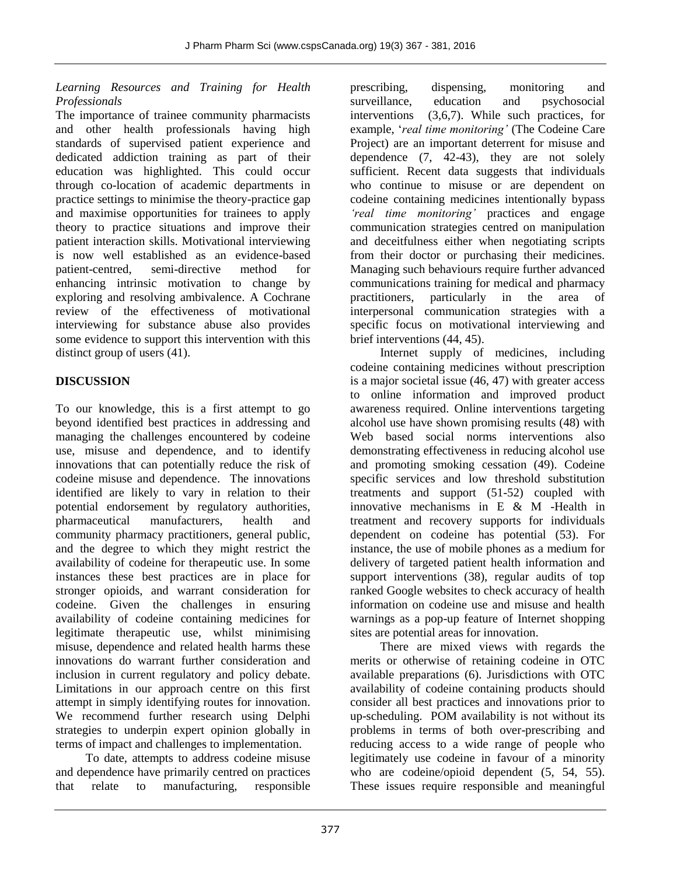# *Learning Resources and Training for Health Professionals*

The importance of trainee community pharmacists and other health professionals having high standards of supervised patient experience and dedicated addiction training as part of their education was highlighted. This could occur through co-location of academic departments in practice settings to minimise the theory-practice gap and maximise opportunities for trainees to apply theory to practice situations and improve their patient interaction skills. Motivational interviewing is now well established as an evidence-based patient-centred, semi-directive method for enhancing intrinsic motivation to change by exploring and resolving ambivalence. A Cochrane review of the effectiveness of motivational interviewing for substance abuse also provides some evidence to support this intervention with this distinct group of users (41).

# **DISCUSSION**

To our knowledge, this is a first attempt to go beyond identified best practices in addressing and managing the challenges encountered by codeine use, misuse and dependence, and to identify innovations that can potentially reduce the risk of codeine misuse and dependence. The innovations identified are likely to vary in relation to their potential endorsement by regulatory authorities, pharmaceutical manufacturers, health and community pharmacy practitioners, general public, and the degree to which they might restrict the availability of codeine for therapeutic use. In some instances these best practices are in place for stronger opioids, and warrant consideration for codeine. Given the challenges in ensuring availability of codeine containing medicines for legitimate therapeutic use, whilst minimising misuse, dependence and related health harms these innovations do warrant further consideration and inclusion in current regulatory and policy debate. Limitations in our approach centre on this first attempt in simply identifying routes for innovation. We recommend further research using Delphi strategies to underpin expert opinion globally in terms of impact and challenges to implementation.

To date, attempts to address codeine misuse and dependence have primarily centred on practices that relate to manufacturing, responsible

prescribing, dispensing, monitoring and surveillance, education and psychosocial interventions (3,6,7). While such practices, for example, '*real time monitoring'* (The Codeine Care Project) are an important deterrent for misuse and dependence (7, 42-43), they are not solely sufficient. Recent data suggests that individuals who continue to misuse or are dependent on codeine containing medicines intentionally bypass *'real time monitoring'* practices and engage communication strategies centred on manipulation and deceitfulness either when negotiating scripts from their doctor or purchasing their medicines. Managing such behaviours require further advanced communications training for medical and pharmacy practitioners, particularly in the area of interpersonal communication strategies with a specific focus on motivational interviewing and brief interventions (44, 45).

Internet supply of medicines, including codeine containing medicines without prescription is a major societal issue (46, 47) with greater access to online information and improved product awareness required. Online interventions targeting alcohol use have shown promising results (48) with Web based social norms interventions also demonstrating effectiveness in reducing alcohol use and promoting smoking cessation (49). Codeine specific services and low threshold substitution treatments and support (51-52) coupled with innovative mechanisms in E & M -Health in treatment and recovery supports for individuals dependent on codeine has potential (53). For instance, the use of mobile phones as a medium for delivery of targeted patient health information and support interventions (38), regular audits of top ranked Google websites to check accuracy of health information on codeine use and misuse and health warnings as a pop-up feature of Internet shopping sites are potential areas for innovation.

There are mixed views with regards the merits or otherwise of retaining codeine in OTC available preparations (6). Jurisdictions with OTC availability of codeine containing products should consider all best practices and innovations prior to up-scheduling. POM availability is not without its problems in terms of both over-prescribing and reducing access to a wide range of people who legitimately use codeine in favour of a minority who are codeine/opioid dependent (5, 54, 55). These issues require responsible and meaningful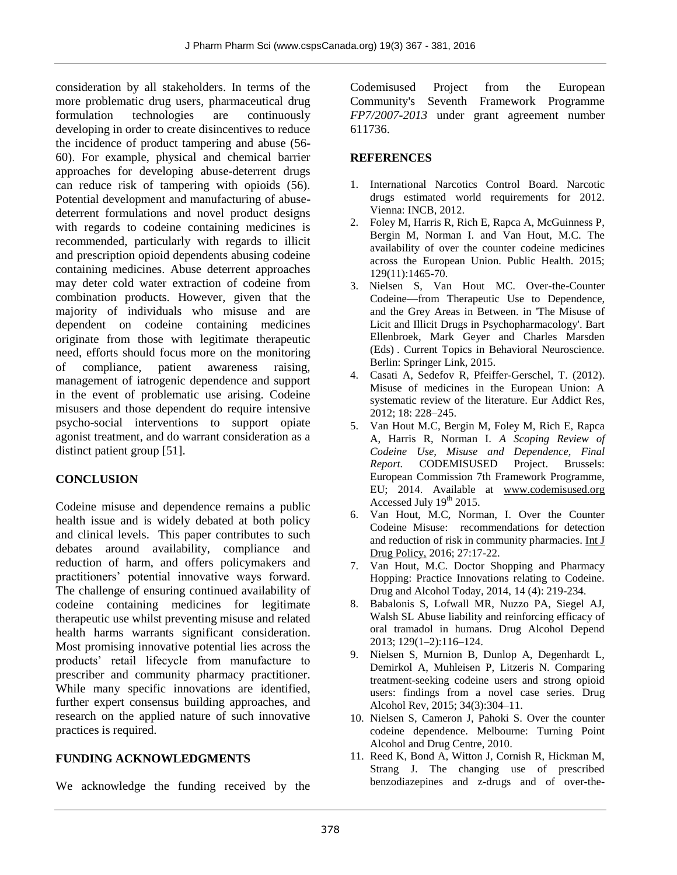consideration by all stakeholders. In terms of the more problematic drug users, pharmaceutical drug formulation technologies are continuously developing in order to create disincentives to reduce the incidence of product tampering and abuse (56- 60). For example, physical and chemical barrier approaches for developing abuse-deterrent drugs can reduce risk of tampering with opioids (56). Potential development and manufacturing of abusedeterrent formulations and novel product designs with regards to codeine containing medicines is recommended, particularly with regards to illicit and prescription opioid dependents abusing codeine containing medicines. Abuse deterrent approaches may deter cold water extraction of codeine from combination products. However, given that the majority of individuals who misuse and are dependent on codeine containing medicines originate from those with legitimate therapeutic need, efforts should focus more on the monitoring of compliance, patient awareness raising, management of iatrogenic dependence and support in the event of problematic use arising. Codeine misusers and those dependent do require intensive psycho-social interventions to support opiate agonist treatment, and do warrant consideration as a distinct patient group [51].

# **CONCLUSION**

Codeine misuse and dependence remains a public health issue and is widely debated at both policy and clinical levels. This paper contributes to such debates around availability, compliance and reduction of harm, and offers policymakers and practitioners' potential innovative ways forward. The challenge of ensuring continued availability of codeine containing medicines for legitimate therapeutic use whilst preventing misuse and related health harms warrants significant consideration. Most promising innovative potential lies across the products' retail lifecycle from manufacture to prescriber and community pharmacy practitioner. While many specific innovations are identified, further expert consensus building approaches, and research on the applied nature of such innovative practices is required.

# **FUNDING ACKNOWLEDGMENTS**

We acknowledge the funding received by the

Codemisused Project from the European Community's Seventh Framework Programme *FP7/2007-2013* under grant agreement number 611736.

# **REFERENCES**

- 1. International Narcotics Control Board. Narcotic drugs estimated world requirements for 2012. Vienna: INCB, 2012.
- 2. Foley M, Harris R, Rich E, Rapca A, McGuinness P, Bergin M, Norman I. and Van Hout, M.C. The availability of over the counter codeine medicines across the European Union. Public Health. 2015; 129(11):1465-70.
- 3. Nielsen S, Van Hout MC. Over-the-Counter Codeine—from Therapeutic Use to Dependence, and the Grey Areas in Between. in 'The Misuse of Licit and Illicit Drugs in Psychopharmacology'. Bart Ellenbroek, Mark Geyer and Charles Marsden (Eds) . Current Topics in Behavioral Neuroscience. Berlin: Springer Link, 2015.
- 4. Casati A, Sedefov R, Pfeiffer-Gerschel, T. (2012). Misuse of medicines in the European Union: A systematic review of the literature. Eur Addict Res, 2012; 18: 228–245.
- 5. Van Hout M.C, Bergin M, Foley M, Rich E, Rapca A, Harris R, Norman I. *A Scoping Review of Codeine Use, Misuse and Dependence, Final Report.* CODEMISUSED Project. Brussels: European Commission 7th Framework Programme, EU; 2014. Available at [www.codemisused.org](http://www.codemisused.org/) Accessed July  $19<sup>th</sup> 2015$ .
- 6. Van Hout, M.C, Norman, I. Over the Counter Codeine Misuse: recommendations for detection and reduction of risk in community pharmacies[. Int J](http://www.ncbi.nlm.nih.gov/pubmed/26454626)  [Drug Policy,](http://www.ncbi.nlm.nih.gov/pubmed/26454626) 2016; 27:17-22.
- 7. Van Hout, M.C. Doctor Shopping and Pharmacy Hopping: Practice Innovations relating to Codeine. Drug and Alcohol Today*,* 2014, 14 (4): 219-234.
- 8. Babalonis S, Lofwall MR, Nuzzo PA, Siegel AJ, Walsh SL Abuse liability and reinforcing efficacy of oral tramadol in humans. Drug Alcohol Depend 2013; 129(1–2):116–124.
- 9. Nielsen S, Murnion B, Dunlop A, Degenhardt L, Demirkol A, Muhleisen P, Litzeris N. Comparing treatment-seeking codeine users and strong opioid users: findings from a novel case series. Drug Alcohol Rev, 2015; 34(3):304–11.
- 10. Nielsen S, Cameron J, Pahoki S. Over the counter codeine dependence. Melbourne: Turning Point Alcohol and Drug Centre, 2010.
- 11. Reed K, Bond A, Witton J, Cornish R, Hickman M, Strang J. The changing use of prescribed benzodiazepines and z-drugs and of over-the-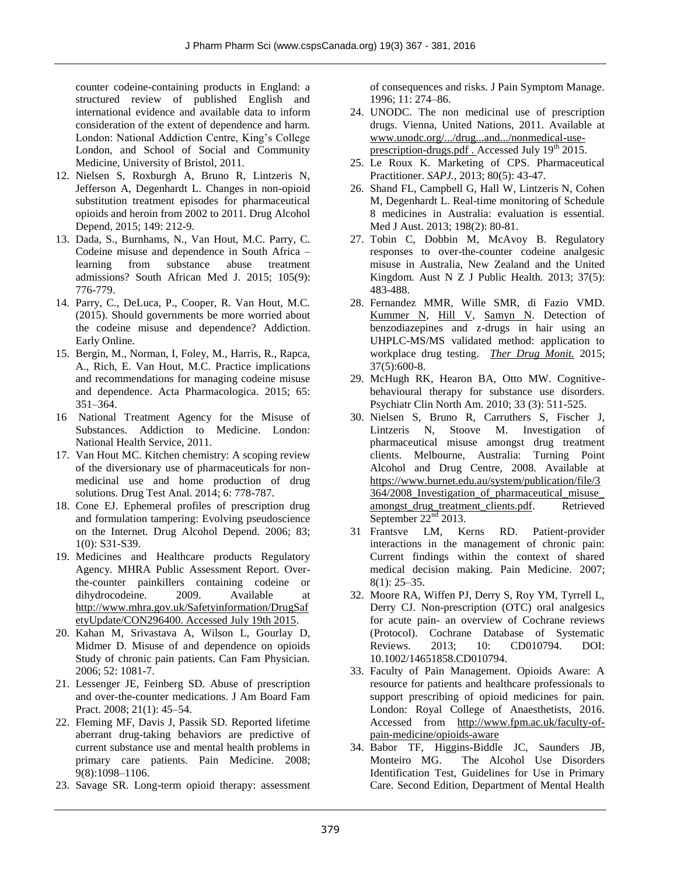counter codeine-containing products in England: a structured review of published English and international evidence and available data to inform consideration of the extent of dependence and harm. London: National Addiction Centre, King's College London, and School of Social and Community Medicine, University of Bristol, 2011.

- 12. Nielsen S, Roxburgh A, Bruno R, Lintzeris N, Jefferson A, Degenhardt L. Changes in non-opioid substitution treatment episodes for pharmaceutical opioids and heroin from 2002 to 2011. Drug Alcohol Depend, 2015; 149: 212-9.
- 13. Dada, S., Burnhams, N., Van Hout, M.C. Parry, C. Codeine misuse and dependence in South Africa – learning from substance abuse treatment admissions? South African Med J. 2015; 105(9): 776-779.
- 14. Parry, C., DeLuca, P., Cooper, R. Van Hout, M.C. (2015). Should governments be more worried about the codeine misuse and dependence? Addiction. Early Online.
- 15. Bergin, M., Norman, I, Foley, M., Harris, R., Rapca, A., Rich, E. Van Hout, M.C. Practice implications and recommendations for managing codeine misuse and dependence. Acta Pharmacologica. 2015; 65: 351–364.
- 16 National Treatment Agency for the Misuse of Substances. Addiction to Medicine. London: National Health Service, 2011.
- 17. Van Hout MC. Kitchen chemistry: A scoping review of the diversionary use of pharmaceuticals for nonmedicinal use and home production of drug solutions. Drug Test Anal. 2014; 6: 778-787.
- 18. Cone EJ. Ephemeral profiles of prescription drug and formulation tampering: Evolving pseudoscience on the Internet. Drug Alcohol Depend. 2006; 83; 1(0): S31-S39.
- 19. Medicines and Healthcare products Regulatory Agency. MHRA Public Assessment Report. Overthe-counter painkillers containing codeine or dihydrocodeine. 2009. Available at [http://www.mhra.gov.uk/Safetyinformation/DrugSaf](http://www.mhra.gov.uk/Safetyinformation/DrugSafetyUpdate/CON296400.%20Accessed%20July%2019th%202015) [etyUpdate/CON296400. Accessed July 19th 2015.](http://www.mhra.gov.uk/Safetyinformation/DrugSafetyUpdate/CON296400.%20Accessed%20July%2019th%202015)
- 20. Kahan M, Srivastava A, Wilson L, Gourlay D, Midmer D. Misuse of and dependence on opioids Study of chronic pain patients. Can Fam Physician. 2006; 52: 1081-7.
- 21. Lessenger JE, Feinberg SD. Abuse of prescription and over-the-counter medications. J Am Board Fam Pract. 2008; 21(1): 45–54.
- 22. Fleming MF, Davis J, Passik SD. Reported lifetime aberrant drug-taking behaviors are predictive of current substance use and mental health problems in primary care patients. Pain Medicine*.* 2008; 9(8):1098–1106.
- 23. Savage SR. Long-term opioid therapy: assessment

of consequences and risks. J Pain Symptom Manage*.*  1996; 11: 274–86.

- 24. UNODC. The non medicinal use of prescription drugs. Vienna, United Nations, 2011. Available at [www.unodc.org/.../drug...and.../nonmedical-use](http://www.unodc.org/.../drug...and.../nonmedical-use-prescription-drugs.pdf)[prescription-drugs.pdf](http://www.unodc.org/.../drug...and.../nonmedical-use-prescription-drugs.pdf). Accessed July 19<sup>th</sup> 2015.
- 25. Le Roux K. Marketing of CPS. Pharmaceutical Practitioner. *SAPJ.,* 2013; 80(5): 43-47.
- 26. Shand FL, Campbell G, Hall W, Lintzeris N, Cohen M, Degenhardt L. Real-time monitoring of Schedule 8 medicines in Australia: evaluation is essential. Med J Aust. 2013; 198(2): 80-81.
- 27. Tobin C, Dobbin M, McAvoy B. Regulatory responses to over-the-counter codeine analgesic misuse in Australia, New Zealand and the United Kingdom*.* Aust N Z J Public Health*.* 2013; 37(5): 483-488.
- 28. Fernandez MMR, Wille SMR, di Fazio VMD. [Kummer N,](http://www.ncbi.nlm.nih.gov/pubmed/?term=Kummer%20N%5BAuthor%5D&cauthor=true&cauthor_uid=25627407) [Hill V,](http://www.ncbi.nlm.nih.gov/pubmed/?term=Hill%20V%5BAuthor%5D&cauthor=true&cauthor_uid=25627407) [Samyn N.](http://www.ncbi.nlm.nih.gov/pubmed/?term=Samyn%20N%5BAuthor%5D&cauthor=true&cauthor_uid=25627407) Detection of benzodiazepines and z-drugs in hair using an UHPLC-MS/MS validated method: application to workplace drug testing. *[Ther Drug Monit.](http://www.ncbi.nlm.nih.gov/pubmed/25627407)* 2015; 37(5):600-8.
- 29. McHugh RK, Hearon BA, Otto MW. Cognitivebehavioural therapy for substance use disorders. Psychiatr Clin North Am. 2010; 33 (3): 511-525.
- 30. Nielsen S, Bruno R, Carruthers S, Fischer J, Lintzeris N, Stoove M. Investigation of pharmaceutical misuse amongst drug treatment clients. Melbourne, Australia: Turning Point Alcohol and Drug Centre, 2008. Available at [https://www.burnet.edu.au/system/publication/file/3](https://www.burnet.edu.au/system/publication/file/3364/2008_Investigation_of_pharmaceutical_misuse_amongst_drug_treatment_clients.pdf) [364/2008\\_Investigation\\_of\\_pharmaceutical\\_misuse\\_](https://www.burnet.edu.au/system/publication/file/3364/2008_Investigation_of_pharmaceutical_misuse_amongst_drug_treatment_clients.pdf) amongst drug treatment clients.pdf. Retrieved September  $22<sup>nd</sup>$  2013.
- 31 Frantsve LM, Kerns RD. Patient-provider interactions in the management of chronic pain: Current findings within the context of shared medical decision making. Pain Medicine*.* 2007; 8(1): 25–35.
- 32. Moore RA, Wiffen PJ, Derry S, Roy YM, Tyrrell L, Derry CJ. Non-prescription (OTC) oral analgesics for acute pain- an overview of Cochrane reviews (Protocol). Cochrane Database of Systematic Reviews. 2013; 10: CD010794. DOI: 10.1002/14651858.CD010794.
- 33. Faculty of Pain Management. Opioids Aware: A resource for patients and healthcare professionals to support prescribing of opioid medicines for pain. London: Royal College of Anaesthetists, 2016. Accessed from [http://www.fpm.ac.uk/faculty-of](http://www.fpm.ac.uk/faculty-of-pain-medicine/opioids-aware)[pain-medicine/opioids-aware](http://www.fpm.ac.uk/faculty-of-pain-medicine/opioids-aware)
- 34. Babor TF, Higgins-Biddle JC, Saunders JB, Monteiro MG. The Alcohol Use Disorders Identification Test, Guidelines for Use in Primary Care. Second Edition, Department of Mental Health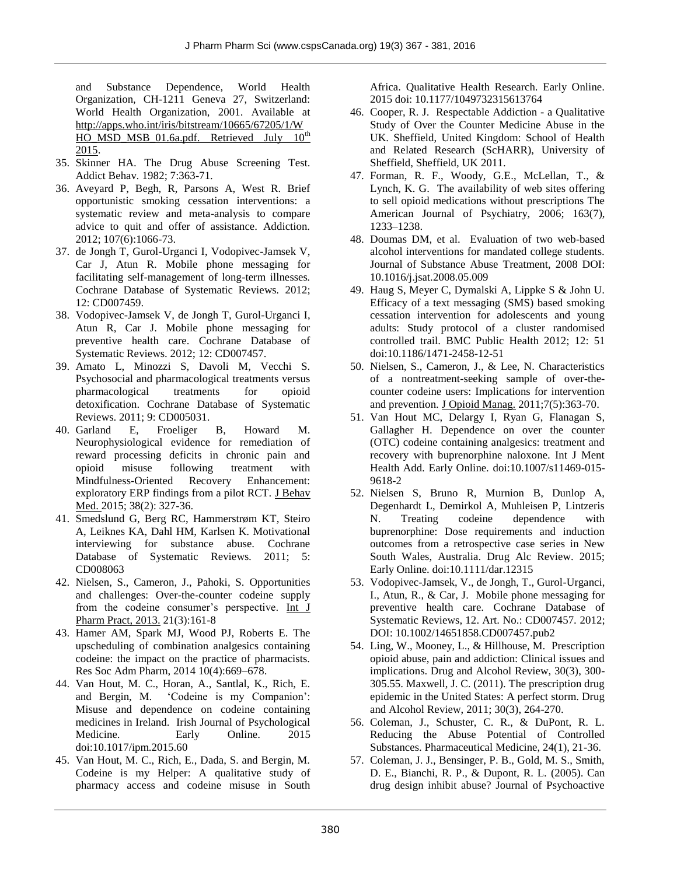and Substance Dependence, World Health Organization, CH-1211 Geneva 27, Switzerland: World Health Organization, 2001. Available at [http://apps.who.int/iris/bitstream/10665/67205/1/W](http://apps.who.int/iris/bitstream/10665/67205/1/WHO_MSD_MSB_01.6a.pdf.%20Retrieved%20July%2010th%202015) HO\_MSD\_MSB\_01.6a.pdf. Retrieved July  $10^{th}$ [2015.](http://apps.who.int/iris/bitstream/10665/67205/1/WHO_MSD_MSB_01.6a.pdf.%20Retrieved%20July%2010th%202015) 

- 35. Skinner HA. The Drug Abuse Screening Test. Addict Behav*.* 1982; 7:363-71.
- 36. Aveyard P, Begh, R, Parsons A, West R. Brief opportunistic smoking cessation interventions: a systematic review and meta-analysis to compare advice to quit and offer of assistance. Addiction. 2012; 107(6):1066-73.
- 37. de Jongh T, Gurol-Urganci I, Vodopivec-Jamsek V, Car J, Atun R. Mobile phone messaging for facilitating self-management of long-term illnesses*.*  Cochrane Database of Systematic Reviews*.* 2012; 12: CD007459.
- 38. Vodopivec-Jamsek V, de Jongh T, Gurol-Urganci I, Atun R, Car J. Mobile phone messaging for preventive health care. Cochrane Database of Systematic Reviews. 2012; 12: CD007457.
- 39. Amato L, Minozzi S, Davoli M, Vecchi S. Psychosocial and pharmacological treatments versus pharmacological treatments for opioid detoxification. Cochrane Database of Systematic Reviews. 2011; 9: CD005031.
- 40. Garland E, Froeliger B, Howard M. Neurophysiological evidence for remediation of reward processing deficits in chronic pain and opioid misuse following treatment with Mindfulness-Oriented Recovery Enhancement: exploratory ERP findings from a pilot RCT. [J Behav](http://www.ncbi.nlm.nih.gov/pubmed?term=Garland%5Bauthor%5D+AND+Neurophysiological+evidence+for+remediation+of+reward+processing+deficits+in+chronic+pain+and+opioid+misuse+following+treatment+with+Mindfulness-Oriented+Recovery+Enhancement%3A+exploratory+ERP+findings+from+a+pilot+RCT&TransSchema=title&cmd=detailssearch)  [Med.](http://www.ncbi.nlm.nih.gov/pubmed?term=Garland%5Bauthor%5D+AND+Neurophysiological+evidence+for+remediation+of+reward+processing+deficits+in+chronic+pain+and+opioid+misuse+following+treatment+with+Mindfulness-Oriented+Recovery+Enhancement%3A+exploratory+ERP+findings+from+a+pilot+RCT&TransSchema=title&cmd=detailssearch) 2015; 38(2): 327-36.
- 41. Smedslund G, Berg RC, Hammerstrøm KT, Steiro A, Leiknes KA, Dahl HM, Karlsen K. Motivational interviewing for substance abuse. Cochrane Database of Systematic Reviews*.* 2011; 5: CD008063
- 42. Nielsen, S., Cameron, J., Pahoki, S. Opportunities and challenges: Over-the-counter codeine supply from the codeine consumer's perspective. [Int J](http://www.ncbi.nlm.nih.gov/pubmed/23419000)  [Pharm Pract, 2013.](http://www.ncbi.nlm.nih.gov/pubmed/23419000) 21(3):161-8
- 43. Hamer AM, Spark MJ, Wood PJ, Roberts E. The upscheduling of combination analgesics containing codeine: the impact on the practice of pharmacists. Res Soc Adm Pharm, 2014 10(4):669–678.
- 44. Van Hout, M. C., Horan, A., Santlal, K., Rich, E. and Bergin, M. 'Codeine is my Companion': Misuse and dependence on codeine containing medicines in Ireland. Irish Journal of Psychological Medicine. Early Online. 2015 doi:10.1017/ipm.2015.60
- 45. Van Hout, M. C., Rich, E., Dada, S. and Bergin, M. Codeine is my Helper: A qualitative study of pharmacy access and codeine misuse in South

Africa. Qualitative Health Research. Early Online. 2015 doi: 10.1177/1049732315613764

- 46. Cooper, R. J. Respectable Addiction a Qualitative Study of Over the Counter Medicine Abuse in the UK. Sheffield, United Kingdom: School of Health and Related Research (ScHARR), University of Sheffield, Sheffield, UK 2011.
- 47. Forman, R. F., Woody, G.E., McLellan, T., & Lynch, K. G. The availability of web sites offering to sell opioid medications without prescriptions The American Journal of Psychiatry, 2006; 163(7), 1233–1238.
- 48. Doumas DM, et al. Evaluation of two web-based alcohol interventions for mandated college students. Journal of Substance Abuse Treatment, 2008 DOI: 10.1016/j.jsat.2008.05.009
- 49. Haug S, Meyer C, Dymalski A, Lippke S & John U. Efficacy of a text messaging (SMS) based smoking cessation intervention for adolescents and young adults: Study protocol of a cluster randomised controlled trail. BMC Public Health 2012; 12: 51 doi:10.1186/1471-2458-12-51
- 50. Nielsen, S., Cameron, J., & Lee, N. Characteristics of a nontreatment-seeking sample of over-thecounter codeine users: Implications for intervention and prevention. [J Opioid Manag.](http://www.ncbi.nlm.nih.gov/pubmed/22165035) 2011;7(5):363-70.
- 51. Van Hout MC, Delargy I, Ryan G, Flanagan S, Gallagher H. Dependence on over the counter (OTC) codeine containing analgesics: treatment and recovery with buprenorphine naloxone. Int J Ment Health Add*.* Early Online. doi:10.1007/s11469-015- 9618-2
- 52. Nielsen S, Bruno R, Murnion B, Dunlop A, Degenhardt L, Demirkol A, Muhleisen P, Lintzeris N. Treating codeine dependence with buprenorphine: Dose requirements and induction outcomes from a retrospective case series in New South Wales, Australia. Drug Alc Review. 2015; Early Online. doi:10.1111/dar.12315
- 53. Vodopivec-Jamsek, V., de Jongh, T., Gurol-Urganci, I., Atun, R., & Car, J. Mobile phone messaging for preventive health care. Cochrane Database of Systematic Reviews, 12. Art. No.: CD007457. 2012; DOI: 10.1002/14651858.CD007457.pub2
- 54. Ling, W., Mooney, L., & Hillhouse, M. Prescription opioid abuse, pain and addiction: Clinical issues and implications. Drug and Alcohol Review, 30(3), 300- 305.55. Maxwell, J. C. (2011). The prescription drug epidemic in the United States: A perfect storm. Drug and Alcohol Review, 2011; 30(3), 264-270.
- 56. Coleman, J., Schuster, C. R., & DuPont, R. L. Reducing the Abuse Potential of Controlled Substances. Pharmaceutical Medicine, 24(1), 21-36.
- 57. Coleman, J. J., Bensinger, P. B., Gold, M. S., Smith, D. E., Bianchi, R. P., & Dupont, R. L. (2005). Can drug design inhibit abuse? Journal of Psychoactive